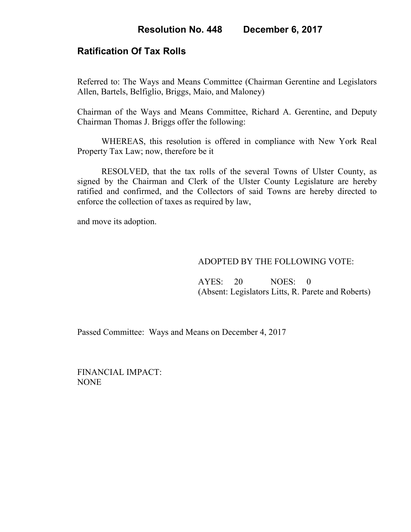## **Ratification Of Tax Rolls**

Referred to: The Ways and Means Committee (Chairman Gerentine and Legislators Allen, Bartels, Belfiglio, Briggs, Maio, and Maloney)

Chairman of the Ways and Means Committee, Richard A. Gerentine, and Deputy Chairman Thomas J. Briggs offer the following:

WHEREAS, this resolution is offered in compliance with New York Real Property Tax Law; now, therefore be it

RESOLVED, that the tax rolls of the several Towns of Ulster County, as signed by the Chairman and Clerk of the Ulster County Legislature are hereby ratified and confirmed, and the Collectors of said Towns are hereby directed to enforce the collection of taxes as required by law,

and move its adoption.

## ADOPTED BY THE FOLLOWING VOTE:

 AYES: 20 NOES: 0 (Absent: Legislators Litts, R. Parete and Roberts)

Passed Committee: Ways and Means on December 4, 2017

FINANCIAL IMPACT: NONE